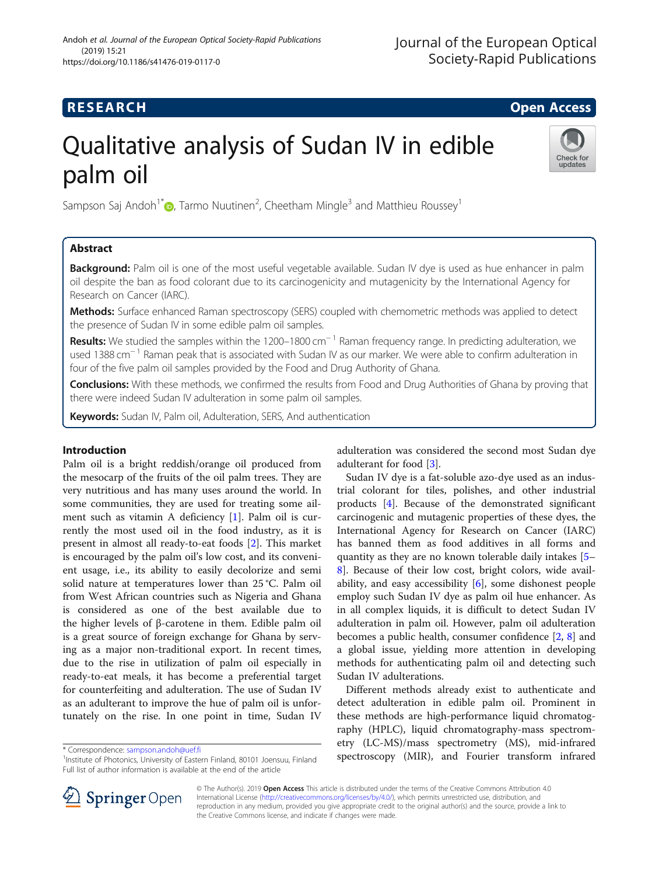### **RESEARCH CHILD CONTROL** CONTROL CONTROL CONTROL CONTROL CONTROL CONTROL CONTROL CONTROL CONTROL CONTROL CONTROL

## Qualitative analysis of Sudan IV in edible palm oil



Sampson Saj Andoh<sup>1[\\*](http://orcid.org/0000-0002-1128-5908)</sup> $\textsf{O}$ , Tarmo Nuutinen<sup>2</sup>, Cheetham Mingle<sup>3</sup> and Matthieu Roussey<sup>1</sup>

#### Abstract

Background: Palm oil is one of the most useful vegetable available. Sudan IV dye is used as hue enhancer in palm oil despite the ban as food colorant due to its carcinogenicity and mutagenicity by the International Agency for Research on Cancer (IARC).

Methods: Surface enhanced Raman spectroscopy (SERS) coupled with chemometric methods was applied to detect the presence of Sudan IV in some edible palm oil samples.

**Results:** We studied the samples within the 1200–1800 cm<sup>-1</sup> Raman frequency range. In predicting adulteration, we used 1388 cm<sup>-1</sup> Raman peak that is associated with Sudan IV as our marker. We were able to confirm adulteration in four of the five palm oil samples provided by the Food and Drug Authority of Ghana.

**Conclusions:** With these methods, we confirmed the results from Food and Drug Authorities of Ghana by proving that there were indeed Sudan IV adulteration in some palm oil samples.

Keywords: Sudan IV, Palm oil, Adulteration, SERS, And authentication

#### Introduction

Palm oil is a bright reddish/orange oil produced from the mesocarp of the fruits of the oil palm trees. They are very nutritious and has many uses around the world. In some communities, they are used for treating some ailment such as vitamin A deficiency [\[1](#page-4-0)]. Palm oil is currently the most used oil in the food industry, as it is present in almost all ready-to-eat foods [[2](#page-4-0)]. This market is encouraged by the palm oil's low cost, and its convenient usage, i.e., its ability to easily decolorize and semi solid nature at temperatures lower than 25 °C. Palm oil from West African countries such as Nigeria and Ghana is considered as one of the best available due to the higher levels of β-carotene in them. Edible palm oil is a great source of foreign exchange for Ghana by serving as a major non-traditional export. In recent times, due to the rise in utilization of palm oil especially in ready-to-eat meals, it has become a preferential target for counterfeiting and adulteration. The use of Sudan IV as an adulterant to improve the hue of palm oil is unfortunately on the rise. In one point in time, Sudan IV

\* Correspondence: [sampson.andoh@uef.fi](mailto:sampson.andoh@uef.fi) <sup>1</sup>

adulteration was considered the second most Sudan dye adulterant for food [\[3](#page-4-0)].

Sudan IV dye is a fat-soluble azo-dye used as an industrial colorant for tiles, polishes, and other industrial products [\[4](#page-4-0)]. Because of the demonstrated significant carcinogenic and mutagenic properties of these dyes, the International Agency for Research on Cancer (IARC) has banned them as food additives in all forms and quantity as they are no known tolerable daily intakes [[5](#page-4-0)– [8\]](#page-4-0). Because of their low cost, bright colors, wide availability, and easy accessibility [[6\]](#page-4-0), some dishonest people employ such Sudan IV dye as palm oil hue enhancer. As in all complex liquids, it is difficult to detect Sudan IV adulteration in palm oil. However, palm oil adulteration becomes a public health, consumer confidence [\[2](#page-4-0), [8](#page-4-0)] and a global issue, yielding more attention in developing methods for authenticating palm oil and detecting such Sudan IV adulterations.

Different methods already exist to authenticate and detect adulteration in edible palm oil. Prominent in these methods are high-performance liquid chromatography (HPLC), liquid chromatography-mass spectrometry (LC-MS)/mass spectrometry (MS), mid-infrared spectroscopy (MIR), and Fourier transform infrared



© The Author(s). 2019 Open Access This article is distributed under the terms of the Creative Commons Attribution 4.0 International License ([http://creativecommons.org/licenses/by/4.0/\)](http://creativecommons.org/licenses/by/4.0/), which permits unrestricted use, distribution, and reproduction in any medium, provided you give appropriate credit to the original author(s) and the source, provide a link to the Creative Commons license, and indicate if changes were made.

<sup>&</sup>lt;sup>1</sup> Institute of Photonics, University of Eastern Finland, 80101 Joensuu, Finland Full list of author information is available at the end of the article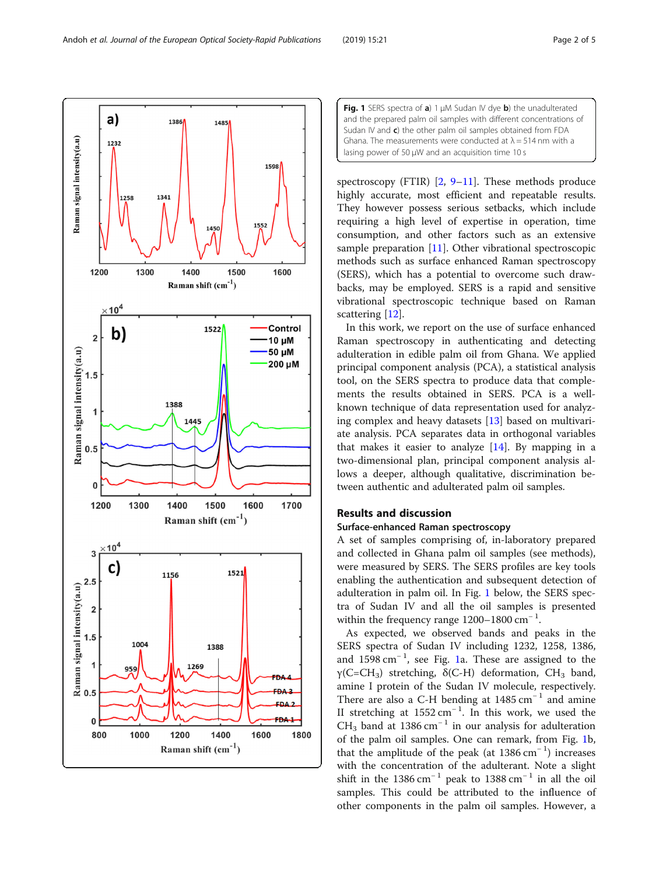backs, may be employed. SERS is a rapid and sensitive vibrational spectroscopic technique based on Raman scattering [[12](#page-4-0)]. In this work, we report on the use of surface enhanced Raman spectroscopy in authenticating and detecting adulteration in edible palm oil from Ghana. We applied principal component analysis (PCA), a statistical analysis tool, on the SERS spectra to produce data that complements the results obtained in SERS. PCA is a wellknown technique of data representation used for analyzing complex and heavy datasets [[13\]](#page-4-0) based on multivariate analysis. PCA separates data in orthogonal variables that makes it easier to analyze  $[14]$  $[14]$ . By mapping in a

# two-dimensional plan, principal component analysis allows a deeper, although qualitative, discrimination between authentic and adulterated palm oil samples.

#### Results and discussion

#### Surface-enhanced Raman spectroscopy

A set of samples comprising of, in-laboratory prepared and collected in Ghana palm oil samples (see methods), were measured by SERS. The SERS profiles are key tools enabling the authentication and subsequent detection of adulteration in palm oil. In Fig. 1 below, the SERS spectra of Sudan IV and all the oil samples is presented within the frequency range 1200-1800 cm<sup>-1</sup>.

As expected, we observed bands and peaks in the SERS spectra of Sudan IV including 1232, 1258, 1386, and 1598 cm<sup>−</sup> <sup>1</sup> , see Fig. 1a. These are assigned to the γ(C=CH<sub>3</sub>) stretching,  $\delta$ (C-H) deformation, CH<sub>3</sub> band, amine I protein of the Sudan IV molecule, respectively. There are also a C-H bending at  $1485 \text{ cm}^{-1}$  and amine II stretching at  $1552 \text{ cm}^{-1}$ . In this work, we used the CH<sub>3</sub> band at 1386 cm<sup>-1</sup> in our analysis for adulteration of the palm oil samples. One can remark, from Fig. 1b, that the amplitude of the peak (at 1386 cm<sup>−</sup> <sup>1</sup> ) increases with the concentration of the adulterant. Note a slight shift in the 1386 cm<sup>-1</sup> peak to 1388 cm<sup>-1</sup> in all the oil samples. This could be attributed to the influence of other components in the palm oil samples. However, a



highly accurate, most efficient and repeatable results. They however possess serious setbacks, which include requiring a high level of expertise in operation, time consumption, and other factors such as an extensive sample preparation [\[11](#page-4-0)]. Other vibrational spectroscopic methods such as surface enhanced Raman spectroscopy (SERS), which has a potential to overcome such draw-

<span id="page-1-0"></span>

1485

1386

a)

1232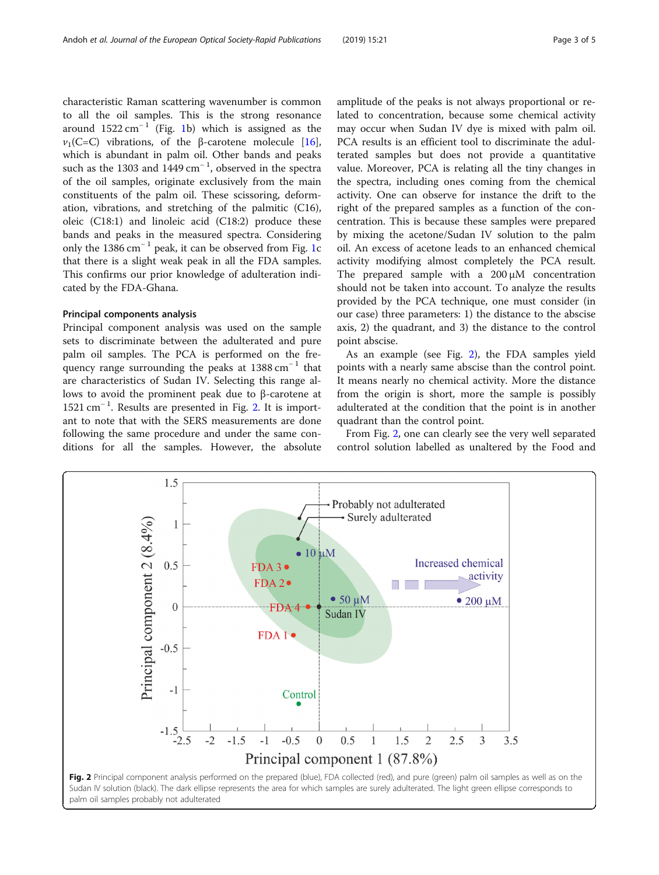characteristic Raman scattering wavenumber is common to all the oil samples. This is the strong resonance around  $1522 \text{ cm}^{-1}$  (Fig. [1b](#page-1-0)) which is assigned as the  $ν_1(C=C)$  vibrations, of the β-carotene molecule [\[16](#page-4-0)], which is abundant in palm oil. Other bands and peaks such as the 1303 and 1449 cm<sup>-1</sup>, observed in the spectra of the oil samples, originate exclusively from the main constituents of the palm oil. These scissoring, deformation, vibrations, and stretching of the palmitic (C16), oleic (C18:1) and linoleic acid (C18:2) produce these bands and peaks in the measured spectra. Considering only the [1](#page-1-0)386 cm<sup>-1</sup> peak, it can be observed from Fig. 1c that there is a slight weak peak in all the FDA samples. This confirms our prior knowledge of adulteration indicated by the FDA-Ghana.

#### Principal components analysis

Principal component analysis was used on the sample sets to discriminate between the adulterated and pure palm oil samples. The PCA is performed on the frequency range surrounding the peaks at  $1388 \text{ cm}^{-1}$  that are characteristics of Sudan IV. Selecting this range allows to avoid the prominent peak due to β-carotene at 1521 cm<sup>−</sup> <sup>1</sup> . Results are presented in Fig. 2. It is important to note that with the SERS measurements are done following the same procedure and under the same conditions for all the samples. However, the absolute amplitude of the peaks is not always proportional or related to concentration, because some chemical activity may occur when Sudan IV dye is mixed with palm oil. PCA results is an efficient tool to discriminate the adulterated samples but does not provide a quantitative value. Moreover, PCA is relating all the tiny changes in the spectra, including ones coming from the chemical activity. One can observe for instance the drift to the right of the prepared samples as a function of the concentration. This is because these samples were prepared by mixing the acetone/Sudan IV solution to the palm oil. An excess of acetone leads to an enhanced chemical activity modifying almost completely the PCA result. The prepared sample with a 200 μM concentration should not be taken into account. To analyze the results provided by the PCA technique, one must consider (in our case) three parameters: 1) the distance to the abscise axis, 2) the quadrant, and 3) the distance to the control point abscise.

As an example (see Fig. 2), the FDA samples yield points with a nearly same abscise than the control point. It means nearly no chemical activity. More the distance from the origin is short, more the sample is possibly adulterated at the condition that the point is in another quadrant than the control point.

From Fig. 2, one can clearly see the very well separated control solution labelled as unaltered by the Food and

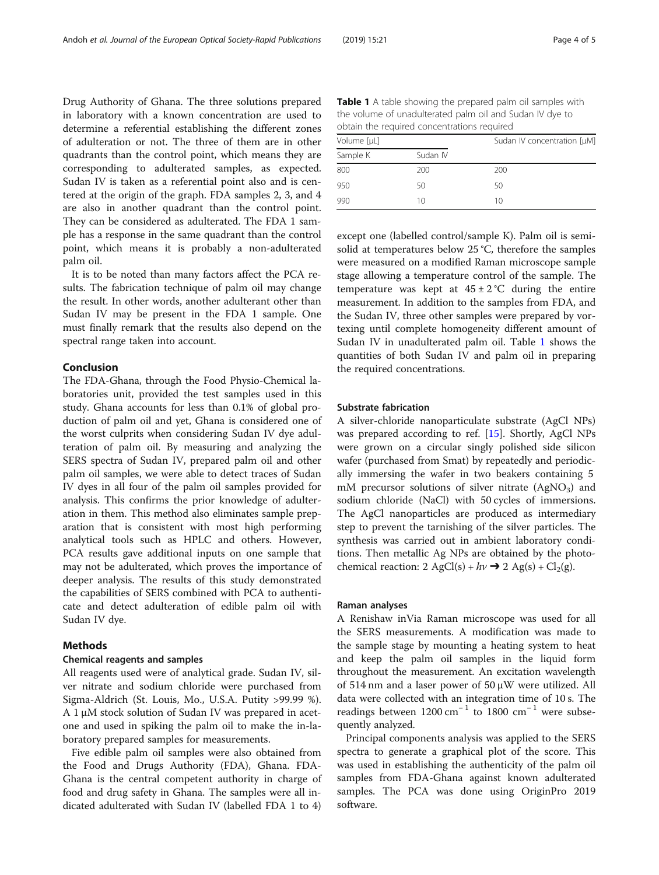Drug Authority of Ghana. The three solutions prepared in laboratory with a known concentration are used to determine a referential establishing the different zones of adulteration or not. The three of them are in other quadrants than the control point, which means they are corresponding to adulterated samples, as expected. Sudan IV is taken as a referential point also and is centered at the origin of the graph. FDA samples 2, 3, and 4 are also in another quadrant than the control point. They can be considered as adulterated. The FDA 1 sample has a response in the same quadrant than the control point, which means it is probably a non-adulterated palm oil.

It is to be noted than many factors affect the PCA results. The fabrication technique of palm oil may change the result. In other words, another adulterant other than Sudan IV may be present in the FDA 1 sample. One must finally remark that the results also depend on the spectral range taken into account.

#### Conclusion

The FDA-Ghana, through the Food Physio-Chemical laboratories unit, provided the test samples used in this study. Ghana accounts for less than 0.1% of global production of palm oil and yet, Ghana is considered one of the worst culprits when considering Sudan IV dye adulteration of palm oil. By measuring and analyzing the SERS spectra of Sudan IV, prepared palm oil and other palm oil samples, we were able to detect traces of Sudan IV dyes in all four of the palm oil samples provided for analysis. This confirms the prior knowledge of adulteration in them. This method also eliminates sample preparation that is consistent with most high performing analytical tools such as HPLC and others. However, PCA results gave additional inputs on one sample that may not be adulterated, which proves the importance of deeper analysis. The results of this study demonstrated the capabilities of SERS combined with PCA to authenticate and detect adulteration of edible palm oil with Sudan IV dye.

#### Methods

#### Chemical reagents and samples

All reagents used were of analytical grade. Sudan IV, silver nitrate and sodium chloride were purchased from Sigma-Aldrich (St. Louis, Mo., U.S.A. Putity >99.99 %). A 1 μM stock solution of Sudan IV was prepared in acetone and used in spiking the palm oil to make the in-laboratory prepared samples for measurements.

Five edible palm oil samples were also obtained from the Food and Drugs Authority (FDA), Ghana. FDA-Ghana is the central competent authority in charge of food and drug safety in Ghana. The samples were all indicated adulterated with Sudan IV (labelled FDA 1 to 4)

Table 1 A table showing the prepared palm oil samples with the volume of unadulterated palm oil and Sudan IV dye to obtain the required concentrations required

| Volume [µL] |          | Sudan IV concentration [µM] |
|-------------|----------|-----------------------------|
| Sample K    | Sudan IV |                             |
| 800         | 200      | 200                         |
| 950         | 50       | 50                          |
| 990         | 10       | 10                          |

except one (labelled control/sample K). Palm oil is semisolid at temperatures below 25 °C, therefore the samples were measured on a modified Raman microscope sample stage allowing a temperature control of the sample. The temperature was kept at  $45 \pm 2$  °C during the entire measurement. In addition to the samples from FDA, and the Sudan IV, three other samples were prepared by vortexing until complete homogeneity different amount of Sudan IV in unadulterated palm oil. Table 1 shows the quantities of both Sudan IV and palm oil in preparing the required concentrations.

#### Substrate fabrication

A silver-chloride nanoparticulate substrate (AgCl NPs) was prepared according to ref. [[15](#page-4-0)]. Shortly, AgCl NPs were grown on a circular singly polished side silicon wafer (purchased from Smat) by repeatedly and periodically immersing the wafer in two beakers containing 5 mM precursor solutions of silver nitrate (AgNO<sub>3</sub>) and sodium chloride (NaCl) with 50 cycles of immersions. The AgCl nanoparticles are produced as intermediary step to prevent the tarnishing of the silver particles. The synthesis was carried out in ambient laboratory conditions. Then metallic Ag NPs are obtained by the photochemical reaction: 2 AgCl(s) +  $h\nu \rightarrow 2$  Ag(s) + Cl<sub>2</sub>(g).

#### Raman analyses

A Renishaw inVia Raman microscope was used for all the SERS measurements. A modification was made to the sample stage by mounting a heating system to heat and keep the palm oil samples in the liquid form throughout the measurement. An excitation wavelength of 514 nm and a laser power of 50  $\mu$ W were utilized. All data were collected with an integration time of 10 s. The readings between  $1200 \text{ cm}^{-1}$  to  $1800 \text{ cm}^{-1}$  were subsequently analyzed.

Principal components analysis was applied to the SERS spectra to generate a graphical plot of the score. This was used in establishing the authenticity of the palm oil samples from FDA-Ghana against known adulterated samples. The PCA was done using OriginPro 2019 software.